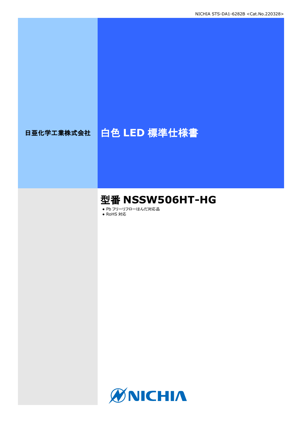# 日亜化学工業株式会社 | 白色 LED 標準仕様書

# 型番 **NSSW506HT-HG**

● Pb フリーリフローはんだ対応品

● RoHS 対応

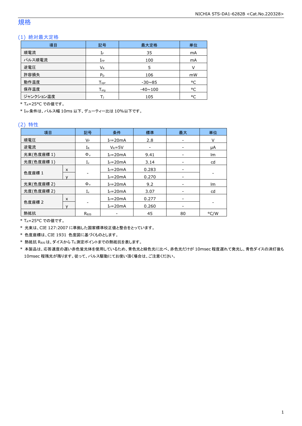### 規格

### (1) 絶対最大定格

| 項目        | 記号               | 最大定格           | 単位     |
|-----------|------------------|----------------|--------|
| 順電流       | IF               | 35             | mA     |
| パルス順電流    | $I_{FP}$         | 100            | mA     |
| 逆電圧       | $V_{R}$          | 5              | $\vee$ |
| 許容損失      | $P_D$            | 106            | mW     |
| 動作温度      | $T_{\text{opt}}$ | $-30\nu 85$    | °C     |
| 保存温度      | $T_{\rm stq}$    | $-40 \sim 100$ | °C     |
| ジャンクション温度 |                  | 105            | °C     |

\* TA=25°C での値です。

\* IFP条件は、パルス幅 10ms 以下、デューティー比は 10%以下です。

### (2) 特性

| 項目        |   | 記号           | 条件           | 標準    | 最大                       | 単位   |
|-----------|---|--------------|--------------|-------|--------------------------|------|
| 順電圧       |   | VF           | $I_F = 20mA$ | 2.8   | $\overline{\phantom{a}}$ | V    |
| 逆電流       |   | IR           | $V_R = 5V$   |       |                          | μA   |
| 光束(色度座標1) |   | $\Phi_{v}$   | $I_F = 20mA$ | 9.41  |                          | lm   |
| 光度(色度座標1) |   | $I_{v}$      | $I_F = 20mA$ | 3.14  |                          | cd   |
|           | X |              | $I_F = 20mA$ | 0.283 |                          |      |
| 色度座標 1    |   |              | $I_F = 20mA$ | 0.270 |                          |      |
| 光束(色度座標2) |   | $\Phi_{v}$   | $I_F = 20mA$ | 9.2   |                          | lm   |
| 光度(色度座標2) |   | $I_{v}$      | $I_F = 20mA$ | 3.07  |                          | cd   |
| 色度座標 2    | X |              | $I_F = 20mA$ | 0.277 |                          |      |
|           | v |              | $I_F = 20mA$ | 0.260 |                          |      |
| 熱抵抗       |   | $R_{\theta}$ |              | 45    | 80                       | °C/W |

\* TA=25°C での値です。

\* 光束は、CIE 127:2007 に準拠した国家標準校正値と整合をとっています。

\* 色度座標は、CIE 1931 色度図に基づくものとします。

\* 熱抵抗 RθJSは、ダイスから TS測定ポイントまでの熱抵抗を表します。

\* 本製品は、応答速度の遅い赤色蛍光体を使用しているため、青色光と緑色光に比べ、赤色光だけが 10msec 程度遅れて発光し、青色ダイスの消灯後も 10msec 程残光が残ります。従って、パルス駆動にてお使い頂く場合は、ご注意ください。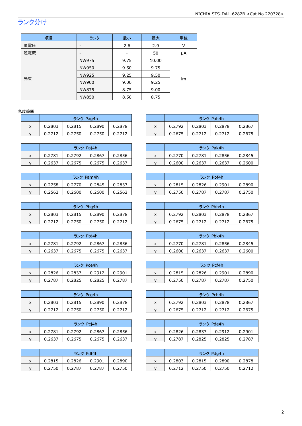# ランク分け

| 項目  | ランク          | 最小   | 最大    | 単位 |  |
|-----|--------------|------|-------|----|--|
| 順電圧 | -            | 2.6  | 2.9   | v  |  |
| 逆電流 | -            |      | 50    | μA |  |
|     | NW975        | 9.75 | 10.00 |    |  |
|     | NW950        | 9.50 | 9.75  | Im |  |
|     | NW925        | 9.25 | 9.50  |    |  |
| 光束  | NW900        | 9.00 | 9.25  |    |  |
|     | NW875        | 8.75 | 9.00  |    |  |
|     | <b>NW850</b> | 8.50 | 8.75  |    |  |

### 色度範囲

|   | ランク Pag4h |        |        |        |
|---|-----------|--------|--------|--------|
| x | 0.2803    | 0.2815 | 0.2890 | 0.2878 |
|   | 0.2712    | 0.2750 | 0.2750 | 0.2712 |

| ランク Paj4h |        |        |        |
|-----------|--------|--------|--------|
| 0.2781    | 0.2792 | 0.2867 | 0.2856 |
| 0.2637    | 0.2675 | 0.2675 | 0.2637 |

| ランク Pam4h |        |        |        |  |
|-----------|--------|--------|--------|--|
| 0.2758    | 0.2770 | 0.2845 | 0.2833 |  |
| 0.2562    | 0.2600 | 0.2600 | 0.2562 |  |

|   | ランク Pbg4h |        |        |        |
|---|-----------|--------|--------|--------|
| x | 0.2803    | 0.2815 | 0.2890 | 0.2878 |
|   | 0.2712    | 0.2750 | 0.2750 | 0.2712 |

| ランク Pbj4h |        |        |        |
|-----------|--------|--------|--------|
| 0.2781    | 0.2792 | 0.2867 | 0.2856 |
| 0.2637    | 0.2675 | 0.2675 | 0.2637 |

| ランク Pce4h |        |        |        |
|-----------|--------|--------|--------|
| 0.2826    | 0.2837 | 0.2912 | 0.2901 |
| 0.2787    | 0.2825 | 0.2825 | በ 2787 |

|   | ランク Pcg4h |        |        |        |
|---|-----------|--------|--------|--------|
| x | 0.2803    | 0.2815 | 0.2890 | 0.2878 |
|   | 0.2712    | 0.2750 | 0.2750 | 0.2712 |

|   | ランク Pci4h |        |        |        |
|---|-----------|--------|--------|--------|
| x | 0.2781    | 0.2792 | 0.2867 | 0.2856 |
|   | 0.2637    | 0.2675 | 0.2675 | 0.2637 |

| ランク Pdf4h |        |        |        |
|-----------|--------|--------|--------|
| 0.2815    | 0.2826 | 0.2901 | 0.2890 |
| 0.2750    | 0.2787 | 0.2787 | 0.2750 |

|   |        | ランク Pag4h |        |        |  |        |        | ランク Pah4h |        |
|---|--------|-----------|--------|--------|--|--------|--------|-----------|--------|
| x | 0.2803 | 0.2815    | 0.2890 | 0.2878 |  | 0.2792 | 0.2803 | 0.2878    | 0.2867 |
|   | 0.2712 | 0.2750    | 0.2750 | 0.2712 |  | 0.2675 | 0.2712 | 0.2712    | 0.2675 |
|   |        |           |        |        |  |        |        |           |        |

|   | ランク Paj4h<br>0.2867<br>0.2792<br>0.2781<br>0.2856 |        |        |        |   | ランク Pak4h |        |        |        |  |
|---|---------------------------------------------------|--------|--------|--------|---|-----------|--------|--------|--------|--|
| x |                                                   |        |        |        | ́ | 0.2770    | 0.2781 | 0.2856 | 0.2845 |  |
|   | 0.2637                                            | 0.2675 | 0.2675 | 0.2637 |   | 0.2600    | 0.2637 | 0.2637 | 0.2600 |  |

|   | ランク Pam4h<br>0.2758<br>0.2770<br>0.2845<br>0.2833 |        |        |        | ランク Pbf4h |        |        |        |        |
|---|---------------------------------------------------|--------|--------|--------|-----------|--------|--------|--------|--------|
| ^ |                                                   |        |        |        | ́         | 0.2815 | 0.2826 | 0.2901 | 0.2890 |
|   | 0.2562                                            | 0.2600 | 0.2600 | 0.2562 |           | 0.2750 | 0.2787 | 0.2787 | 0.2750 |

|   | ランク Pbg4h |        |        |        |        | ランク Pbh4h |        |        |        |  |
|---|-----------|--------|--------|--------|--------|-----------|--------|--------|--------|--|
| x | 0.2803    | 0.2815 | 0.2890 | 0.2878 | $\sim$ | 0.2792    | 0.2803 | 0.2878 | 0.2867 |  |
|   | 0.2712    | 0.2750 | 0.2750 | 0.2712 |        | 0.2675    | 0.2712 | 0.2712 | 0.2675 |  |

|   | ランク Pbi4h<br>0.2867<br>0.2781<br>0.2792<br>0.2856 |        |        |        |   | ランク Pbk4h |        |        |        |  |
|---|---------------------------------------------------|--------|--------|--------|---|-----------|--------|--------|--------|--|
| x |                                                   |        |        |        | ́ | 0.2770    | 0.2781 | 0.2856 | 0.2845 |  |
|   | 0.2637                                            | 0.2675 | 0.2675 | 0.2637 |   | 0.2600    | 0.2637 | 0.2637 | 0.2600 |  |

|   | ランク Pce4h<br>0.2912<br>0.2826<br>0.2837<br>0.2901 |        |        |        |   |        |        | ランク Pcf4h |        |
|---|---------------------------------------------------|--------|--------|--------|---|--------|--------|-----------|--------|
| x |                                                   |        |        |        | ́ | 0.2815 | 0.2826 | 0.2901    | 0.2890 |
|   | 0.2787                                            | 0.2825 | 0.2825 | 0.2787 |   | 0.2750 | 0.2787 | 0.2787    | 0.2750 |

|   | ランク Pcg4h<br>0.2890<br>0.2803<br>0.2815<br>0.2878 |        |        |  |   |        |        | ランク Pch4h |        |
|---|---------------------------------------------------|--------|--------|--|---|--------|--------|-----------|--------|
| x |                                                   |        |        |  | ⋏ | 0.2792 | 0.2803 | 0.2878    | 0.2867 |
|   | 0.2712                                            | 0.2750 | 0.2750 |  |   | 0.2675 | 0.2712 | 0.2712    | 0.2675 |

|   |        | ランク Pci4h |        |        |  |        |        | ランク Pde4h |        |
|---|--------|-----------|--------|--------|--|--------|--------|-----------|--------|
| x | 0.2781 | 0.2792    | 0.2867 | 0.2856 |  | 0.2826 | 0.2837 | 0.2912    | 0.2901 |
|   | 0.2637 | 0.2675    | 0.2675 | 0.2637 |  | 0.2787 | 0.2825 | 0.2825    | 0.2787 |

|   |        | ランク Pdf4h |        |        |  |   |        |        | ランク Pdg4h |        |
|---|--------|-----------|--------|--------|--|---|--------|--------|-----------|--------|
| x | 0.2815 | 0.2826    | 0.2901 | 0.2890 |  | ㅅ | 0.2803 | 0.2815 | 0.2890    | 0.2878 |
|   | 0.2750 | 0.2787    | 0.2787 | 0.2750 |  |   | 0.2712 | 0.2750 | 0.2750    | 0.2712 |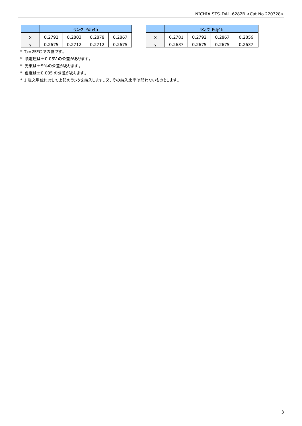|   | ランク Pdh4h |        |        |        |  |  |  |  |  |  |
|---|-----------|--------|--------|--------|--|--|--|--|--|--|
| x | 0.2792    | 0.2803 | 0.2878 | 0.2867 |  |  |  |  |  |  |
|   | 0.2675    | 0.2712 | 0.2712 | 0.2675 |  |  |  |  |  |  |

|   |        | ランク Pdh4h |        |        |   |        |        | ランク Pdi4h |        |
|---|--------|-----------|--------|--------|---|--------|--------|-----------|--------|
| x | 0.2792 | 0.2803    | 0.2878 | 0.2867 | X | 0.2781 | 0.2792 | 0.2867    | 0.2856 |
|   | 0.2675 | 0.2712    |        | 0.2675 |   | 0.2637 | 0.2675 | 0.2675    | 0.2637 |

\* TA=25°C での値です。

- \* 順電圧は±0.05V の公差があります。
- \* 光束は±5%の公差があります。
- \* 色度は±0.005 の公差があります。

\* 1 注文単位に対して上記のランクを納入します。又、その納入比率は問わないものとします。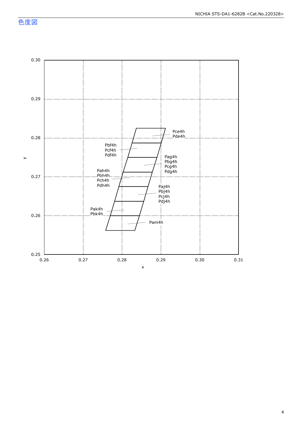色度図

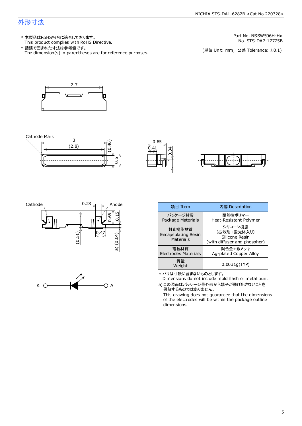### 外形寸法

This product complies with RoHS Directive. 本製品はRoHS指令に適合しております。 \*

The dimension(s) in parentheses are for reference purposes. 括弧で囲まれた寸法は参考値です。 \*

Part No. NSSW506H-Hx

No. STS-DA7-17775B<br>(単位 Unit: mm,公差 Tolerance: ±0.1)







۔<br>0.6







| 項目 Item                                                                                                                        | 内容 Description                                                           |  |  |  |  |  |
|--------------------------------------------------------------------------------------------------------------------------------|--------------------------------------------------------------------------|--|--|--|--|--|
| パッケージ材質<br>Package Materials                                                                                                   | 耐熱性ポリマー<br>Heat-Resistant Polymer                                        |  |  |  |  |  |
| 封止樹脂材質<br>Encapsulating Resin<br>Materials                                                                                     | シリコーン樹脂<br>(拡散剤+蛍光体入り)<br>Silicone Resin<br>(with diffuser and phosphor) |  |  |  |  |  |
| 電極材質<br>Electrodes Materials                                                                                                   | 銅合金+銀メッキ<br>Ag-plated Copper Alloy                                       |  |  |  |  |  |
| 質量<br>Weight                                                                                                                   | 0.0031q(TYP)                                                             |  |  |  |  |  |
| * バリは寸法に含まないものとします。<br>Dimensions do not include mold flash or metal burr.<br>a)この図面はパッケージ最外形から端子が飛び出さないことを<br>保証するキ、のでけありません。 |                                                                          |  |  |  |  |  |

保証するものではありません。

This drawing does not guarantee that the dimensions of the electrodes will be within the package outline dimensions.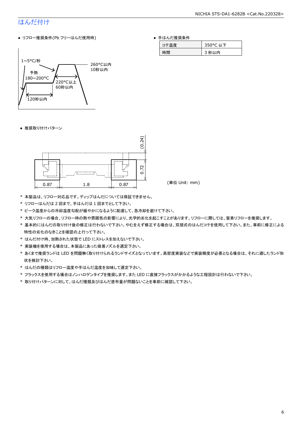# はんだ付け

● リフロー推奨条件(Pb フリーはんだ使用時)

#### ● 手はんだ推奨条件

| 温度 | 350°C 以下 |  |
|----|----------|--|
| 偝  | 秒以内      |  |



● 推奨取り付けパターン



- \* 本製品は、リフロー対応品です。ディップはんだについては保証できません。
- \* リフローはんだは 2 回まで、手はんだは 1 回までとして下さい。
- \* ピーク温度からの冷却温度勾配が緩やかになるように配慮して、急冷却を避けて下さい。
- \* 大気リフローの場合、リフロー時の熱や雰囲気の影響により、光学的劣化を起こすことがあります。リフローに際しては、窒素リフローを推奨します。
- \* 基本的にはんだの取り付け後の修正は行わないで下さい。やむをえず修正する場合は、双頭式のはんだコテを使用して下さい。また、事前に修正による 特性の劣化のなきことを確認の上行って下さい。
- \* はんだ付け時、加熱された状態で LED にストレスを加えないで下さい。
- \* 実装機を使用する場合は、本製品にあった吸着ノズルを選定下さい。
- \* あくまで推奨ランドは LED を問題無く取り付けられるランドサイズとなっています。高密度実装などで実装精度が必要となる場合は、それに適したランド形 状を検討下さい。
- \* はんだの種類はリフロー温度や手はんだ温度を加味して選定下さい。
- \* フラックスを使用する場合はノンハロゲンタイプを推奨します。また LED に直接フラックスがかかるような工程設計は行わないで下さい。
- \* 取り付けパターンに対して、はんだ種類及びはんだ塗布量が問題ないことを事前に確認して下さい。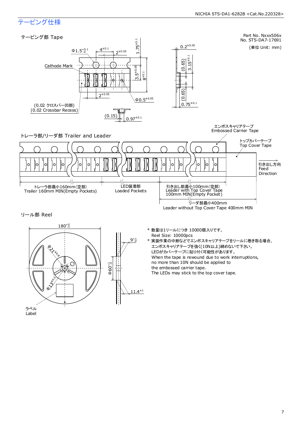# テーピング仕様

ラベル Label

#### Part No. Nxxx506x テーピング部 Tape 1.75±0.1 No. STS-DA7-17691  $0.2^{\pm 0.05}$ (単位 Unit: mm)  $\pm 0.1$  $\Phi$ 1.5<sup>+0.1</sup> 4  $2^{\pm 0.05}$  $\begin{array}{c} 0.65 \\ \hline \end{array}$   $\begin{array}{c} 0.65 \\ \hline \end{array}$   $\begin{array}{c} 0.65 \\ \hline 3.15^{*0.1} \end{array}$ Cathode Mark 3.5±0.05 ±0.1 $^\alpha$  $2^{\pm 0.05}$  $\Phi$ 0.5 $^{\pm 0.05}$ (0.02 クロスバー凹部) (0.02 Crossbar Recess) (0.15)  $0.97^{\pm0.1}$ エンボスキャリアテープ Embossed Carrier Tape トレーラ部/リーダ部 Trailer and Leader トップカバーテープ Top Cover Tape  $\circ$ 引き出し方向 **Feed** Direction ςς LED装着部<br>Loaded Pockets トレーラ部最小160mm(空部) 引き出し部最小100mm(空部) Leader with Top Cover Tape 100mm MIN(Empty Pocket) Trailer 160mm MIN(Empty Pockets) リーダ部最小400mm Leader without Top Cover Tape 400mm MIN  $180^{+0.0}_{-3}$ リール部 Reel  $9^{+1}_{-0}$ \* 数量は1リールにつき 10000個入りです。 Reel Size: 10000pcs \* 実装作業の中断などでエンボスキャリアテープをリールに巻き取る場合、 エンボスキャリアテープを強く(10N以上)締めないで下さい。 Ø LEDがカバーテープに貼り付く可能性があります。 When the tape is rewound due to work interruptions, no more than 10N should be applied to  $\epsilon$  $\Phi$ 60<sup>+1</sup><sub>0</sub> the embossed carrier tape. The LEDs may stick to the top cover tape. **O** Juricial

 $11.4^{\pm 1}$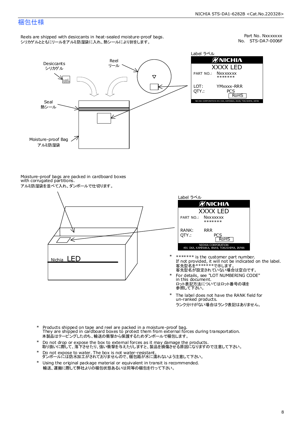### 梱包仕様

Reels are shipped with desiccants in heat-sealed moisture-proof bags. シリカゲルとともにリールをアルミ防湿袋に入れ、熱シールにより封をします。

No. STS-DA7-0006F Part No. Nxxxxxxx



Label ラベル  $\mathscr{D}$ NICHIA XXXX LED PART NO.: **Nxxxxxxx** \*\*\*\*\*\*\* LOT: YMxxxx-RRR QTY.: PCS<br>RoHS INAKA, ANAN, TOKUSHIMA, JA

Moisture-proof bags are packed in cardboard boxes with corrugated partitions. アルミ防湿袋を並べて入れ、ダンボールで仕切ります。





- 客先型名が設定されていない場合は空白です。 客先型名を\*\*\*\*\*\*\*で示します。 If not provided, it will not be indicated on the label. \*\*\*\*\*\*\* is the customer part number.
- For details, see "LOT NUMBERING CODE" in this document. ロット表記方法についてはロット番号の項を<br>参照して下さい。 \*
- The label does not have the RANK field for un-ranked products. ランク分けがない場合はランク表記はありません。 \*
- Products shipped on tape and reel are packed in a moisture-proof bag. They are shipped in cardboard boxes to protect them from external forces during transportation. 本製品はテーピングしたのち、輸送の衝撃から保護するためダンボールで梱包します。 \*
- Do not drop or expose the box to external forces as it may damage the products. 取り扱いに際して、落下させたり、強い衝撃を与えたりしますと、製品を損傷させる原因になりますので注意して下さい。 \*
- Do not expose to water. The box is not water-resistant. ダンボールには防水加工がされておりませんので、梱包箱が水に濡れないよう注意して下さい。 \*
- \* Using the original package material or equivalent in transit is recommended. 輸送、運搬に際して弊社よりの梱包状態あるいは同等の梱包を行って下さい。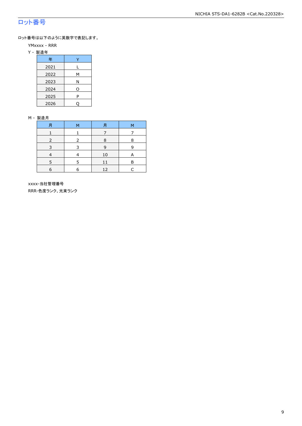# ロット番号

ロット番号は以下のように英数字で表記します。

- YMxxxx RRR
- Y 製造年

| 年    |   |  |  |
|------|---|--|--|
| 2021 |   |  |  |
| 2022 | м |  |  |
| 2023 | Ν |  |  |
| 2024 | O |  |  |
| 2025 | P |  |  |
| 2026 |   |  |  |

#### M - 製造月

|   | м |    | м |
|---|---|----|---|
|   |   |    |   |
|   | 2 | 8  | 8 |
| 3 | 3 | 9  | q |
|   |   | 10 | А |
| 5 | 5 | 11 | Β |
| 6 | 6 | 12 |   |

 xxxx-当社管理番号 RRR-色度ランク、光束ランク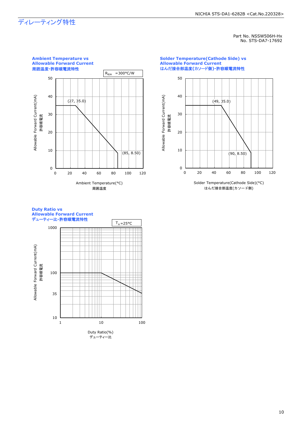# ディレーティング特性

Part No. NSSW506H-Hx No. STS-DA7-17692



#### **Solder Temperature(Cathode Side) vs Allowable Forward Current** はんだ接合部温度**(**カソード側**)-**許容順電流特性



はんだ接合部温度(カソード側)

#### **Duty Ratio vs Allowable Forward Current** デューティー比**-**許容順電流特性

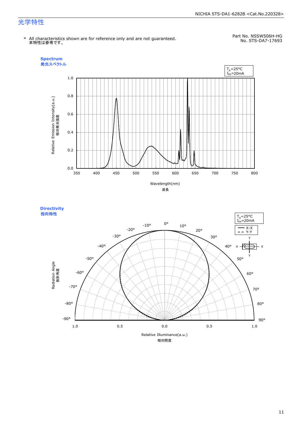#### NICHIA STS-DA1-6282B <Cat.No.220328>

### 光学特性

No. STS-DA7-17693 \* All characteristics shown are for reference only and are not guaranteed. 本特性は参考です。

Part No. NSSW506H-HG<br>No. STS-DA7-17693



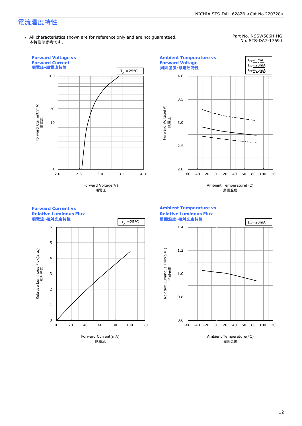## 電流温度特性

\* All characteristics shown are for reference only and are not guaranteed. 本特性は参考です。

#### Part No. NSSW506H-HG No. STS-DA7-17694

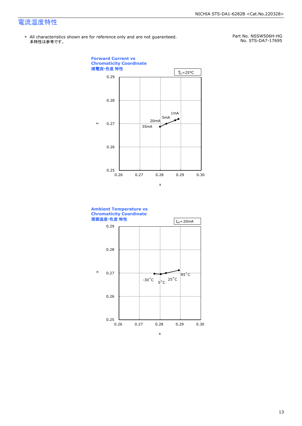# 電流温度特性

\* All characteristics shown are for reference only and are not guaranteed.本特性は参考です。

Part No. NSSW506H-HG No. STS-DA7-17695



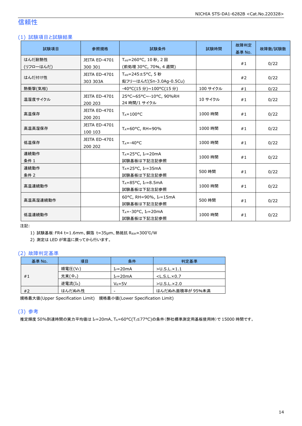## 信頼性

### (1) 試験項目と試験結果

| 試験項目                | 参照規格                             | 試験条件                                                       | 試験時間     | 故障判定<br>基準 No. | 故障数/試験数 |
|---------------------|----------------------------------|------------------------------------------------------------|----------|----------------|---------|
| はんだ耐熱性<br>(リフローはんだ) | JEITA ED-4701<br>300 301         | T <sub>sld</sub> =260°C, 10 秒, 2回<br>(前処理 30°C, 70%, 4 週間) |          | #1             | 0/22    |
| はんだ付け性              | <b>JEITA ED-4701</b><br>303 303A | $T_{std} = 245 \pm 5$ °C, 5秒<br>鉛フリーはんだ(Sn-3.0Ag-0.5Cu)    |          | #2             | 0/22    |
| 熱衝撃(気相)             |                                  | -40°C(15分)~100°C(15分)                                      | 100 サイクル | #1             | 0/22    |
| 温湿度サイクル             | <b>JEITA ED-4701</b><br>200 203  | 25°C~65°C~-10°C, 90%RH<br>24 時間/1 サイクル                     | 10 サイクル  | #1             | 0/22    |
| 高温保存                | JEITA ED-4701<br>200 201         | $T_A = 100^{\circ}C$                                       | 1000 時間  | #1             | 0/22    |
| 高温高湿保存              | JEITA ED-4701<br>100 103         | TA=60°C, RH=90%                                            | 1000 時間  | #1             | 0/22    |
| 低温保存                | <b>JEITA ED-4701</b><br>200 202  | $T_A = -40$ °C                                             | 1000 時間  | #1             | 0/22    |
| 連続動作<br>条件 1        |                                  | $T_A = 25$ °C, I <sub>F</sub> =20mA<br>試験基板は下記注記参照         | 1000 時間  | #1             | 0/22    |
| 連続動作<br>条件 2        |                                  | $T_A = 25^{\circ}C$ , I <sub>F</sub> =35mA<br>試験基板は下記注記参照  | 500 時間   | #1             | 0/22    |
| 高温連続動作              |                                  | $T_A = 85^{\circ}C$ , I <sub>F</sub> =8.5mA<br>試験基板は下記注記参照 | 1000 時間  | #1             | 0/22    |
| 高温高湿連続動作            |                                  | 60°C, RH=90%, IF=15mA<br>試験基板は下記注記参照                       | 500 時間   | #1             | 0/22    |
| 低温連続動作              |                                  | $T_A = -30$ °C, I <sub>F</sub> =20mA<br>試験基板は下記注記参照        | 1000 時間  | #1             | 0/22    |

注記:

1) 試験基板:FR4 t=1.6mm、銅箔 t=35μm、熱抵抗 RθJA≈300℃/W

2) 測定は LED が常温に戻ってから行います。

### (2) 故障判定基準

| 基準 No.            | 項目                  | 条件              | 判定基準                    |
|-------------------|---------------------|-----------------|-------------------------|
|                   | 順電圧(VF)             | $I_F = 20mA$    | $>$ U.S.L. $\times$ 1.1 |
| #1                | 光束(Φ <sub>ν</sub> ) | $I_F = 20mA$    | $<$ L.S.L. $\times$ 0.7 |
|                   | 逆電流 $(L_R)$         | $V_R = 5V$      | $>$ U.S.L. $\times$ 2.0 |
| はんだぬれ性<br>#2<br>- |                     | はんだぬれ面積率が 95%未満 |                         |

規格最大値(Upper Specification Limit) 規格最小値(Lower Specification Limit)

### (3) 参考

推定輝度 50%到達時間の実力平均値は IF=20mA、TA=60°C(TJ≤77°C)の条件(弊社標準測定用基板使用時)で 15000 時間です。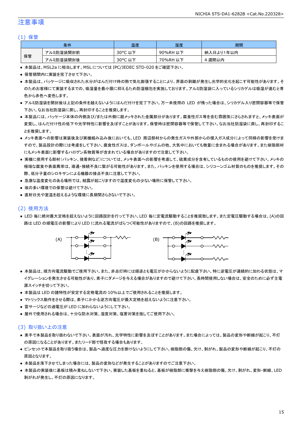### 注意事項

#### (1) 保管

|    | 条件        | 温度                         | 湿度       | 期間        |
|----|-----------|----------------------------|----------|-----------|
|    | アルミ防湿袋開封前 | $30^{\circ}$ C<br>こ以下      | 90%RH 以下 | 納入日より1年以内 |
| 保管 | アルミ防湿袋開封後 | $30^{\circ}$ C<br>,以下<br>֊ | 70%RH 以下 | 週間以内      |

● 本製品は、MSL2a に相当します。MSL については IPC/JEDEC STD-020 をご確認下さい。

- 保管期間内に実装を完了させて下さい。
- 本製品は、パッケージに吸収された水分がはんだ付け時の熱で気化膨張することにより、界面の剥離が発生し光学的劣化を起こす可能性があります。そ のためお客様にて実装するまでの、吸湿量を最小限に抑えるため防湿梱包を実施しております。アルミ防湿袋に入っているシリカゲルは吸湿が進むと青 色から赤色へ変色します。
- アルミ防湿袋を開封後は上記の条件を越えないようにはんだ付けを完了下さい。万一未使用の LED が残った場合は、シリカゲル入り密閉容器等で保管 下さい。なお当社防湿袋に戻し、再封印することを推奨します。
- 本製品には、パッケージ本体の内側及び/または外側に銀メッキされた金属部分があります。腐食性ガス等を含む雰囲気にさらされますと、メッキ表面が 変質し、はんだ付け性の低下や光学特性に影響を及ぼすことがあります。保管時は密閉容器等で保管して下さい。なお当社防湿袋に戻し、再封印するこ とを推奨します。
- メッキ表面への影響は実装後及び実機組み込み後においても、LED 周辺部材からの発生ガスや外部からの侵入ガス成分によって同様の影響を受けま すので、製品設計の際には考慮をして下さい。腐食性ガスは、ダンボールやゴムの他、大気中においても微量に含まれる場合があります。また樹脂部材 にもメッキ表面に影響するハロゲン系物質等が含まれている場合がありますので注意して下さい。
- 実機に使用する部材(パッキン、接着剤など)については、メッキ表面への影響を考慮して、硫黄成分を含有しているものの使用を避けて下さい。メッキの 極端な腐食や表面異常は、導通・接続不良に繋がる可能性があります。また、パッキンを使用する場合は、シリコーンゴム材質のものを推奨します。その 際、低分子量のシロキサンによる機器の接点不良に注意して下さい。
- 急激な温度変化のある場所では、結露が起こりますので温度変化の少ない場所に保管して下さい。
- 埃の多い環境での保管は避けて下さい。
- 直射日光や室温を超えるような環境に長期間さらさないで下さい。

### (2) 使用方法

● LED 毎に絶対最大定格を超えないように回路設計を行って下さい。LED 毎に定電流駆動することを推奨致します。また定電圧駆動する場合は、(A)の回 路は LED の順電圧の影響により LED に流れる電流がばらつく可能性がありますので、(B)の回路を推奨します。



- 本製品は、順方向電流駆動でご使用下さい。また、非点灯時には順逆とも電圧がかからないように配慮下さい。特に逆電圧が連続的に加わる状態は、マ イグレーションを発生させる可能性があり、素子にダメージを与える場合がありますので避けて下さい。長時間使用しない場合は、安全のために必ず主電 源スイッチを切って下さい。
- 本製品は LED の諸特性が安定する定格電流の 10%以上でご使用されることを推奨します。
- マトリックス動作をさせる際は、素子にかかる逆方向電圧が最大定格を超えないように注意下さい。
- 雷サージなどの過電圧が LED に加わらないようにして下さい。
- 屋外で使用される場合は、十分な防水対策、湿度対策、塩害対策を施してご使用下さい。

#### (3) 取り扱い上の注意

- 素手で本製品を取り扱わないで下さい。表面が汚れ、光学特性に影響を及ぼすことがあります。また場合によっては、製品の変形や断線が起こり、不灯 の原因になることがあります。またリード部で怪我する場合もあります。
- ピンセットで本製品を取り扱う場合は、製品へ過度な圧力を掛けないようにして下さい。樹脂部の傷、欠け、剥がれ、製品の変形や断線が起こり、不灯の 原因となります。
- 本製品を落下させてしまった場合には、製品の変形などが発生することがありますのでご注意下さい。
- 本製品の実装後に基板は積み重ねしないで下さい。実装した基板を重ねると、基板が樹脂部に衝撃を与え樹脂部の傷、欠け、剥がれ、変形・断線、LED 剥がれが発生し、不灯の原因になります。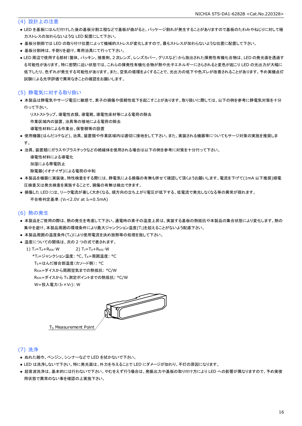### (4) 設計上の注意

- LED を基板にはんだ付けした後の基板分割工程などで基板が曲がると、パッケージ割れが発生することがありますので基板のたわみやねじりに対して極 力ストレスの加わらないような LED 配置にして下さい。
- 基板分割部では LED の取り付け位置によって機械的ストレスが変化しますので、最もストレスが加わらないような位置に配置して下さい。
- 基板分割時は、手割りを避け、専用治具にて行って下さい。
- LED 周辺で使用する部材(筐体、パッキン、接着剤、2 次レンズ、レンズカバー、グリスなど)から放出された揮発性有機化合物は、LED の発光面を透過す る可能性があります。特に密閉に近い状態では、これらの揮発性有機化合物が熱や光子エネルギーにさらされると変色が起こり LED の光出力が大幅に 低下したり、色ずれが発生する可能性があります。また、空気の循環をよくすることで、光出力の低下や色ズレが改善されることがあります。予め実機点灯 試験による光学評価で異常なきことの確認をお願いします。

### (5) 静電気に対する取り扱い

● 本製品は静電気やサージ電圧に敏感で、素子の損傷や信頼性低下を起こすことがあります。取り扱いに際しては、以下の例を参考に静電気対策を十分 行って下さい。

リストストラップ、導電性衣類、導電靴、導電性床材等による電荷の除去

作業区域内の装置、治具等の接地による電荷の除去

- 導電性材料による作業台、保管棚等の設置
- 使用機器(はんだコテなど)、治具、装置類や作業区域内は適切に接地をして下さい。また、実装される機器等についてもサージ対策の実施を推奨しま す。
- 治具、装置類にガラスやプラスチックなどの絶縁体を使用される場合は以下の例を参考に対策を十分行って下さい。

導電性材料による導電化

加湿による帯電防止

除電器(イオナイザ)による電荷の中和

- 本製品を機器に実装後、特性検査をする際には、静電気による損傷の有無も併せて確認して頂くようお願いします。電流を下げて(1mA 以下推奨)順電 圧検査又は発光検査を実施することで、損傷の有無は検出できます。
- 損傷した LED には、リーク電流が著しく大きくなる、順方向の立ち上がり電圧が低下する、低電流で発光しなくなる等の異常が現れます。 不合格判定基準:(VF<2.0V at IF=0.5mA)

#### (6) 熱の発生

- 本製品をご使用の際は、熱の発生を考慮して下さい。通電時の素子の温度上昇は、実装する基板の熱抵抗や本製品の集合状態により変化します。熱の 集中を避け、本製品周囲の環境条件により最大ジャンクション温度(TJ)を超えることがないよう配慮下さい。
- 本製品周囲の温度条件(TA)により使用電流を決め放熱等の処理を施して下さい。
- 温度についての関係は、次の2つの式で表されます。
	- 1)  $T_J = T_A + R_{\theta JA} \cdot W$  2)  $T_J = T_S + R_{\theta JS} \cdot W$ \*T<sub>1</sub>=ジャンクション温度: °C、TA=周囲温度: °C TS=はんだ接合部温度(カソード側): °C RθJA=ダイスから周囲空気までの熱抵抗: °C/W Reis=ダイスから Ts 測定ポイントまでの熱抵抗: °C/W W=投入電力(I<sub>F</sub>×V<sub>F</sub>): W



### (7) 洗浄

- ぬれた雑巾、ベンジン、シンナーなどで LED を拭かないで下さい。
- LED は洗浄しないで下さい。特に発光面は、外力を与えることで LED にダメージが加わり、不灯の原因になります。
- 超音波洗浄は、基本的には行わないで下さい。やむをえず行う場合は、発振出力や基板の取り付け方により LED への影響が異なりますので、予め実使 用状態で異常のない事を確認の上実施下さい。